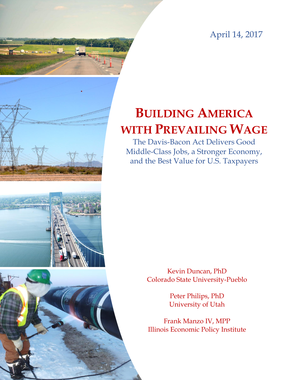April 14, 2017



# **BUILDING AMERICA WITH PREVAILING WAGE**

The Davis-Bacon Act Delivers Good Middle-Class Jobs, a Stronger Economy, and the Best Value for U.S. Taxpayers

> Kevin Duncan, PhD Colorado State University-Pueblo

> > Peter Philips, PhD University of Utah

Frank Manzo IV, MPP Illinois Economic Policy Institute

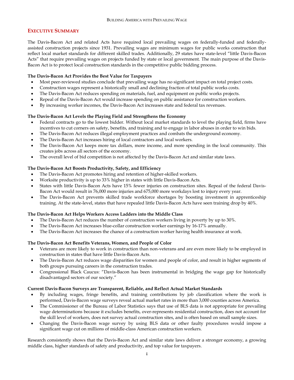# <span id="page-1-0"></span>**EXECUTIVE SUMMARY**

The Davis-Bacon Act and related Acts have required local prevailing wages on federally-funded and federallyassisted construction projects since 1931. Prevailing wages are minimum wages for public works construction that reflect local market standards for different skilled trades. Additionally, 29 states have state-level "little Davis-Bacon Acts" that require prevailing wages on projects funded by state or local government. The main purpose of the Davis-Bacon Act is to protect local construction standards in the competitive public bidding process.

# **The Davis-Bacon Act Provides the Best Value for Taxpayers**

- Most peer-reviewed studies conclude that prevailing wage has no significant impact on total project costs.
- Construction wages represent a historically small and declining fraction of total public works costs.
- The Davis-Bacon Act reduces spending on materials, fuel, and equipment on public works projects.
- Repeal of the Davis-Bacon Act would increase spending on public assistance for construction workers.
- By increasing worker incomes, the Davis-Bacon Act increases state and federal tax revenues.

# **The Davis-Bacon Act Levels the Playing Field and Strengthens the Economy**

- Federal contracts go to the lowest bidder. Without local market standards to level the playing field, firms have incentives to cut corners on safety, benefits, and training and to engage in labor abuses in order to win bids.
- The Davis-Bacon Act reduces illegal employment practices and combats the underground economy.
- The Davis-Bacon Act increases hiring of local contractors and local workers.
- The Davis-Bacon Act keeps more tax dollars, more income, and more spending in the local community. This creates jobs across all sectors of the economy.
- The overall level of bid competition is not affected by the Davis-Bacon Act and similar state laws.

# **The Davis-Bacon Act Boosts Productivity, Safety, and Efficiency**

- The Davis-Bacon Act promotes hiring and retention of higher-skilled workers.
- Worksite productivity is up to 33% higher in states with little Davis-Bacon Acts.
- States with little Davis-Bacon Acts have 15% fewer injuries on construction sites. Repeal of the federal Davis-Bacon Act would result in 76,000 more injuries and 675,000 more workdays lost to injury every year.
- The Davis-Bacon Act prevents skilled trade workforce shortages by boosting investment in apprenticeship training. At the state-level, states that have repealed little Davis-Bacon Acts have seen training drop by 40%.

# **The Davis-Bacon Act Helps Workers Access Ladders into the Middle Class**

- The Davis-Bacon Act reduces the number of construction workers living in poverty by up to 30%.
- The Davis-Bacon Act increases blue-collar construction worker earnings by 16-17% annually.
- The Davis-Bacon Act increases the chance of a construction worker having health insurance at work.

# **The Davis-Bacon Act Benefits Veterans, Women, and People of Color**

- Veterans are more likely to work in construction than non-veterans and are even more likely to be employed in construction in states that have little Davis-Bacon Acts.
- The Davis-Bacon Act reduces wage disparities for women and people of color, and result in higher segments of both groups pursuing careers in the construction trades.
- Congressional Black Caucus: "Davis-Bacon has been instrumental in bridging the wage gap for historically disadvantaged sectors of our society."

# **Current Davis-Bacon Surveys are Transparent, Reliable, and Reflect Actual Market Standards**

- By including wages, fringe benefits, and training contributions by job classification where the work is performed, Davis-Bacon wage surveys reveal actual market rates in more than 3,000 counties across America.
- The Commissioner of the Bureau of Labor Statistics says that use of BLS data is not appropriate for prevailing wage determinations because it excludes benefits, over-represents residential construction, does not account for the skill level of workers, does not survey actual construction sites, and is often based on small sample sizes.
- Changing the Davis-Bacon wage survey by using BLS data or other faulty procedures would impose a significant wage cut on millions of middle-class American construction workers.

Research consistently shows that the Davis-Bacon Act and similar state laws deliver a stronger economy, a growing middle class, higher standards of safety and productivity, and top value for taxpayers.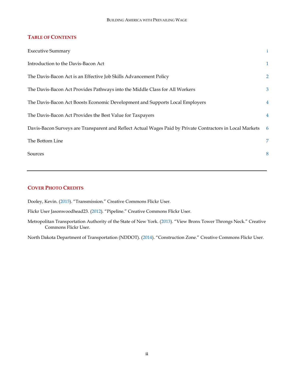# **TABLE OF CONTENTS**

| <b>Executive Summary</b>                                                                                  | $\mathbf{i}$   |
|-----------------------------------------------------------------------------------------------------------|----------------|
| Introduction to the Davis-Bacon Act                                                                       | $\mathbf{1}$   |
| The Davis-Bacon Act is an Effective Job Skills Advancement Policy                                         | $\overline{2}$ |
| The Davis-Bacon Act Provides Pathways into the Middle Class for All Workers                               | 3              |
| The Davis-Bacon Act Boosts Economic Development and Supports Local Employers                              | $\overline{4}$ |
| The Davis-Bacon Act Provides the Best Value for Taxpayers                                                 | $\overline{4}$ |
| Davis-Bacon Surveys are Transparent and Reflect Actual Wages Paid by Private Contractors in Local Markets | -6             |
| The Bottom Line                                                                                           | 7              |
| Sources                                                                                                   | 8              |

# **COVER PHOTO CREDITS**

Dooley, Kevin. [\(2015](https://www.flickr.com/photos/pagedooley/23790163204/in/photolist-CffNFE-raVLmJ-oWUpDT-82qz7U-6Dxahn-vd5mzP-7HQdMT-pKiQLo-beHA1p-qvmUkg-4Tynok-7HSJ71-hqkGDQ-fqyPZc-ttE9N-dGv5eQ-g7Xo8X-oz6Hwk-jKE6g7-pbkyyq-pnRYaf-qc1t8V-aPJkFv-7U3ASA-5bB8cL-9j7wvM-vh62M2-rbndpL-7ufpER-9qaYbo-b4mJFR-sUACB-pmiS2L-dfwcVo-e78pU2-aFkAmn-8WMMuU-f9X5hY-dF6fGB-8a4pw2-dbYgMi-2TD8Vz-dRvL9X-rvKyxb-fwjU9K-9txWFW-e9oxLQ-qNnU-p3JqVp-fMCH7t)). "Transmission." Creative Commons Flickr User.

Flickr User Jasonwoodhead23. [\(2012](https://www.flickr.com/photos/woodhead/6855638978/in/photolist-brNWC3-brNT2h-bveTGX-brNQeG-RzWUQm-SaAVaB-SmMQqn-bnhD73-bAcxNp-bmgbwv-bnhEJU-bpe4Fg-bveRaV-bnhGz3-bsM3fk-bveV9v-bEHFon-bEHNep-bpee3a-bsLWsX-RM2abb-bveWGB-bpe6wk-bp7nRQ-bp7ev9-bsLRYt-SaAZgc-bp7iSs-bpeccD-brNXfu-bp7hMo-bEHDFr-bveUyK-bsLXJt-bveVVz-bnhEcd-bped7T-bsM4yK-bsLZFV-bk1eBr-RM2bxu-bsM1QT-bvf1tF-brNVXC-bnhCpU-bC2aTv-bsM5K6-bpe3u2-bpebjz-bveZNX)). "Pipeline." Creative Commons Flickr User.

Metropolitan Transportation Authority of the State of New York. [\(2013](https://www.flickr.com/photos/mtaphotos/8949916389/in/photolist-eCSEkg-7ZD7ce-8QR7R1-QUwmkh-iDZyFJ-aA8mZC-6Y7F5J-gjLqwV-hwsDS8-3eq9We-9PFm9Q-bDTA8t-4XZjhi-ahgEpJ-fvyQzX-hZEEg6-fvyYjD-fvz2jp-5uLdHw-dFyqng-aWHKDM-cbdZjd-fvPAbN-6Q1kjT-fvVEVs-5jtt6f-47UXdu-fvPcUq-fvP5Fb-Ry6uUE-aDaymR-p86VET-fvP92s-hGeYa4-hZE2tE-9LGi7P-iDZnfN-aENBeB-mUDL5R-S57CCQ-fvPgEj-FKktEh-FMCoEF-cbdZHA-dY5udY-fvzaKM-nec58v-r5pNhY-bivB6v-pMzoda)). "View Bronx Tower Throngs Neck." Creative Commons Flickr User.

North Dakota Department of Transportation (NDDOT). [\(2014](https://www.flickr.com/photos/nddot/14597697914/in/photolist-oeX21N-nfdbBe-de3Cc1-6NCwSu-73oHgx-9swvZM-nXCpCS-pP5EDM-7Vp3Mk-hgjPGV-pLQZjn-nSXfdM-85TpHJ-87sxci-bsT4eg-o3bTdL-iYYsDH-bM1NK4-bR9kdR-9swubM-dcZXvM-iYKUVr-dpKJYX-bVnkZe-6vhvXW-ci1tWf-bqbSkY-e4fZuj-bVqv5g-fdqbs5-nvQZW1-pLQZwB-nxjvvN-FGCUq-fdqdim-aNQiPx-qm8dry-dmkrDt-bPDU1n-7w5QTD-9DPbRm-cABJbd-4TcFaF-7JDPRA-fdaQbH-if7bB-7CHzss-bz9ugQ-4Tc1gH-q27DZo)). "Construction Zone." Creative Commons Flickr User.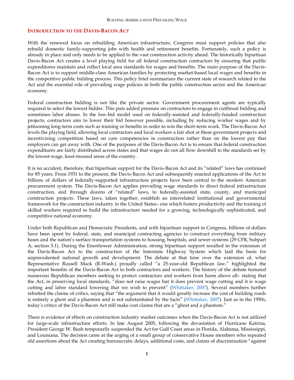#### <span id="page-3-0"></span>**INTRODUCTION TO THE DAVIS-BACON ACT**

With the renewed focus on rebuilding American infrastructure, Congress must support policies that also rebuild domestic family-supporting jobs with health and retirement benefits. Fortunately, such a policy is already in place and only needs to be applied to the vast construction activity ahead. The historically bipartisan Davis-Bacon Act creates a level playing field for all federal construction contractors by ensuring that public expenditures maintain and reflect local area standards for wages and benefits. The main purpose of the Davis-Bacon Act is to support middle-class American families by protecting market-based local wages and benefits in the competitive public bidding process. This policy brief summarizes the current state of research related to the Act and the essential role of prevailing wage policies in both the public construction sector and the American economy.

Federal construction bidding is not like the private sector. Government procurement agents are typically required to select the lowest bidder. This puts added pressure on contractors to engage in cutthroat bidding and sometimes labor abuses. In the low-bid model used on federally-assisted and federally-funded construction projects, contractors aim to lower their bid however possible, including by reducing worker wages and by jettisoning long-term costs such as training or benefits in order to win the short-term work. The Davis-Bacon Act levels the playing field, allowing local contractors and local workers a fair shot at these government projects and incentivizing competition based on core competencies in construction rather than on the lowest pay that employers can get away with. One of the purposes of the Davis-Bacon Act is to ensure that federal construction expenditures are fairly distributed across states and that wages do not all flow downhill to the standards set by the lowest-wage, least-insured areas of the country.

It is no accident, therefore, that bipartisan support for the Davis-Bacon Act and its "related" laws has continued for 85 years. From 1931 to the present, the Davis-Bacon Act and subsequently enacted applications of the Act to billions of dollars of federally-supported infrastructure projects have been central to the modern American procurement system. The Davis-Bacon Act applies prevailing wage standards to direct federal infrastructure construction, and through dozens of "related" laws, to federally-assisted state, county, and municipal construction projects. These laws, taken together, establish an interrelated institutional and governmental framework for the construction industry in the United States– one which fosters productivity and the training of skilled workers required to build the infrastructure needed for a growing, technologically sophisticated, and competitive national economy.

Under both Republican and Democratic Presidents, and with bipartisan support in Congress, billions of dollars have been spent by federal, state, and municipal contracting agencies to construct everything from military bases and the nation's surface transportation systems to housing, hospitals, and sewer systems (29 CFR, Subpart A, section 5.1). During the Eisenhower Administration, strong bipartisan support resulted in the extension of the Davis-Bacon Act to the construction of the Interstate Highway System which laid the basis for unprecedented national growth and development. The debate at that time over the extension of, what Representative Russell Mack (R-Wash.) proudly called "a 25-year-old Republican law," highlighted the important benefits of the Davis-Bacon Act to both contractors and workers. The history of the debate featured numerous Republican members seeking to protect contractors and workers from harm above all– stating that the Act, in preserving local standards, "does not raise wages but it does prevent wage cutting and it is wage cutting and labor standard lowering that we wish to prevent" [\(Whittaker, 2007\)](http://www.mit.edu/afs.new/sipb/contrib/wikileaks-crs/wikileaks-crs-reports/94-408.pdf). Several members further rebutted the claims of critics, saying that "the argument that it would greatly increase the cost of building roads is entirely a ghost and a phantom and is not substantiated by the facts" ([Whittaker, 2007\)](http://www.mit.edu/afs.new/sipb/contrib/wikileaks-crs/wikileaks-crs-reports/94-408.pdf). Just as in the 1950s, today's critics of the Davis-Bacon Act still make cost claims that are a "ghost and a phantom."

There is evidence of effects on construction industry market outcomes when the Davis-Bacon Act is not utilized for large-scale infrastructure efforts. In late August 2005, following the devastation of Hurricane Katrina, President George W. Bush temporarily suspended the Act for Gulf Coast areas in Florida, Alabama, Mississippi, and Louisiana. The decision came at the urging of a small group of conservative House members who repeated old assertions about the Act creating bureaucratic delays, additional costs, and claims of discrimination "against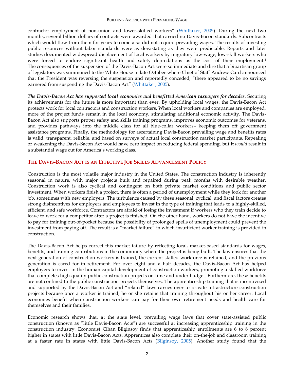contractor employment of non-union and lower-skilled workers" ([Whittaker, 2005\)](http://research.policyarchive.org/2624.pdf). During the next two months, several billion dollars of contracts were awarded that carried no Davis-Bacon standards. Subcontracts which would flow from them for years to come also did not require prevailing wages. The results of investing public resources without labor standards were as devastating as they were predictable. Reports and later studies documented widespread displacement of local workers by migratory low-wage, low-skill workers who were forced to endure significant health and safety depredations as the cost of their employment.<sup>1</sup> The consequences of the suspension of the Davis-Bacon Act were so immediate and dire that a bipartisan group of legislators was summoned to the White House in late October where Chief of Staff Andrew Card announced that the President was reversing the suspension and reportedly conceded, "there appeared to be no savings garnered from suspending the Davis-Bacon Act" ([Whittaker, 2005\)](http://research.policyarchive.org/2624.pdf).

*The Davis-Bacon Act has supported local economies and benefitted American taxpayers for decades*. Securing its achievements for the future is more important than ever. By upholding local wages, the Davis-Bacon Act protects work for local contractors and construction workers. When local workers and companies are employed, more of the project funds remain in the local economy, stimulating additional economic activity. The Davis-Bacon Act also supports proper safety and skills training programs, improves economic outcomes for veterans, and provides pathways into the middle class for all blue-collar workers– keeping them off government assistance programs. Finally, the methodology for ascertaining Davis-Bacon prevailing wage and benefits rates is valid, transparent, reliable, and based on surveys of actual local construction market participants. Repealing or weakening the Davis-Bacon Act would have zero impact on reducing federal spending, but it *would* result in a substantial wage cut for America's working class.

# <span id="page-4-0"></span>**THE DAVIS-BACON ACT IS AN EFFECTIVE JOB SKILLS ADVANCEMENT POLICY**

Construction is the most volatile major industry in the United States. The construction industry is inherently seasonal in nature, with major projects built and repaired during peak months with desirable weather. Construction work is also cyclical and contingent on both private market conditions and public sector investment. When workers finish a project, there is often a period of unemployment while they look for another job, sometimes with new employers. The turbulence caused by these seasonal, cyclical, and fiscal factors creates strong disincentives for employers and employees to invest in the type of training that leads to a highly-skilled, efficient, and safe workforce. Contractors are afraid of losing the investment if workers who they train decide to leave to work for a competitor after a project is finished. On the other hand, workers do not have the incentive to pay for training out-of-pocket because the possibility of prolonged spells of unemployment could prevent the investment from paying off. The result is a "market failure" in which insufficient worker training is provided in construction.

The Davis-Bacon Act helps correct this market failure by reflecting local, market-based standards for wages, benefits, and training contributions in the community where the project is being built. The law ensures that the next generation of construction workers is trained, the current skilled workforce is retained, and the previous generation is cared for in retirement. For over eight and a half decades, the Davis-Bacon Act has helped employers to invest in the human capital development of construction workers, promoting a skilled workforce that completes high-quality public construction projects on-time and under budget. Furthermore, these benefits are not confined to the public construction projects themselves. The apprenticeship training that is incentivized and supported by the Davis-Bacon Act and "related" laws carries over to private infrastructure construction projects because once a worker is trained, he or she retains that training throughout his or her career. Local economies benefit when construction workers can pay for their own retirement needs and health care for themselves and their families.

Economic research shows that, at the state level, prevailing wage laws that cover state-assisted public construction (known as "little Davis-Bacon Acts") are successful at increasing apprenticeship training in the construction industry. Economist Cihan Bilginsoy finds that apprenticeship enrollments are 6 to 8 percent higher in states with little Davis-Bacon Acts. Apprentices also complete their on-the-job and classroom training at a faster rate in states with little Davis-Bacon Acts [\(Bilginsoy, 2005\)](https://ideas.repec.org/p/uta/papers/2003_08.html). Another study found that the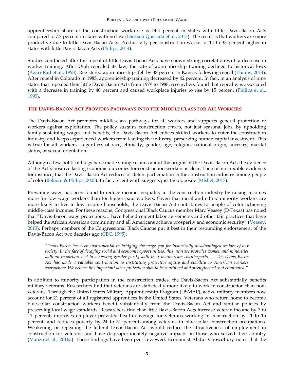apprenticeship share of the construction workforce is 14.4 percent in states with little Davis-Bacon Acts compared to 7.7 percent in states with no law [\(Dickson Quesada et al., 2013\)](https://illinoisepi.org/countrysidenonprofit/wp-content/uploads/2013/10/PWL_full-report_lttr-format.pdf). The result is that workers are more productive due to little Davis-Bacon Acts. Productivity per construction worker is 14 to 33 percent higher in states with little Davis-Bacon Acts [\(Philips, 2014\)](http://www.faircontracting.org/wp-content/uploads/2014/02/Kentucky-Report-2014-Philips.pdf).

Studies conducted after the repeal of little Davis-Bacon Acts have shown strong correlation with a decrease in worker training. After Utah repealed its law, the rate of apprenticeship training declined to historical lows [\(Azari-Rad et al., 1993\)](http://www.tandfonline.com/doi/abs/10.1080/15578770902952280#preview). Registered apprenticeships fell by 38 percent in Kansas following repeal [\(Philips, 2014\)](http://www.faircontracting.org/wp-content/uploads/2014/02/Kentucky-Report-2014-Philips.pdf). After repeal in Colorado in 1985, apprenticeship training decreased by 42 percent. In fact, in an analysis of nine states that repealed their little Davis-Bacon Acts from 1979 to 1988, researchers found that repeal was associated with a decrease in training by 40 percent and caused workplace injuries to rise by 15 percent (Philips et al., [1995\)](http://www.faircontracting.org/PDFs/prevailing_wages/losingground.pdf).

# <span id="page-5-0"></span>**THE DAVIS-BACON ACT PROVIDES PATHWAYS INTO THE MIDDLE CLASS FOR ALL WORKERS**

The Davis-Bacon Act promotes middle-class pathways for all workers and supports general protection of workers against exploitation. The policy sustains construction *careers*, not just seasonal jobs. By upholding family-sustaining wages and benefits, the Davis-Bacon Act entices skilled workers to enter the construction industry and keeps experienced workers from leaving the industry, preserving human capital investment. This is true for all workers– regardless of race, ethnicity, gender, age, religion, national origin, ancestry, marital status, or sexual orientation.

Although a few political blogs have made strange claims about the origins of the Davis-Bacon Act, the evidence of the Act's positive lasting economic outcomes for construction workers is clear. There is no credible evidence, for instance, that the Davis-Bacon Act reduces or deters participation in the construction industry among people of color [\(Belman & Philips, 2005\)](https://msu.edu/~drdale/Publications/Construction%20&%20PLAs/Prevailing%20Wage%20Laws,%20Unions%20and%20Minority%20Employment%20in%20Construction.pdf). In fact, recent work suggests just the opposite [\(Mishel, 2017\)](http://www.epi.org/files/pdf/119517.pdf).

Prevailing wage has been found to reduce income inequality in the construction industry by raising incomes more for low-wage workers than for higher-paid workers. Given that racial and ethnic minority workers are more likely to live in low-income households, the Davis-Bacon Act contributes to people of color achieving middle-class incomes. For these reasons, Congressional Black Caucus member Marc Veasey (D-Texas) has noted that "Davis-Bacon wage protections… have helped cement labor agreements and other fair practices that have helped the African American community and all Americans achieve prosperity and economic security" ([Veasey,](https://votesmart.org/public-statement/810877/the-congressional-black-caucus-african-americans-and-the-labor-movement#.WLjQllXyupp)  [2013\)](https://votesmart.org/public-statement/810877/the-congressional-black-caucus-african-americans-and-the-labor-movement#.WLjQllXyupp). Perhaps members of the Congressional Black Caucus put it best in their resounding endorsement of the Davis-Bacon Act two decades ago [\(CBC, 1995\)](http://www.faircontracting.org/wp-content/uploads/2012/11/Congressional-Black-Caucus-statement-on-Davis-Bacon.pdf):

*"Davis-Bacon has been instrumental in bridging the wage gap for historically disadvantaged sectors of our society. In the face of decaying social and economic opportunities, this measure provides women and minorities with an important tool to achieving greater parity with their mainstream counterparts. … The Davis-Bacon Act has made a valuable contribution to instituting protective equity and stability to American workers everywhere. We believe this important labor protection should be continued and strengthened, not eliminated."*

In addition to minority participation in the construction trades, the Davis-Bacon Act substantially benefits military veterans. Researchers find that veterans are statistically more likely to work in construction than nonveterans. Through the United States Military Apprenticeship Program (USMAP), active military members now account for 21 percent of all registered apprentices in the United States. Veterans who return home to become blue-collar construction workers benefit substantially from the Davis-Bacon Act and similar policies by preserving local wage standards. Researchers find that little Davis-Bacon Acts increase veteran income by 7 to 11 percent, improves employer-provided health coverage for veterans working in construction by 11 to 15 percent, and reduces poverty by 24 to 31 percent among veterans in blue-collar construction occupations. Weakening or repealing the federal Davis-Bacon Act would reduce the attractiveness of employment in construction for veterans and have disproportionately negative impacts on those who served their country [\(Manzo et al., 2016a\)](http://b.3cdn.net/votevets/62350ae9afd6c4c714_0jm6bsc5b.pdf). These findings have been peer reviewed. Economist Abdur Chowdhury notes that the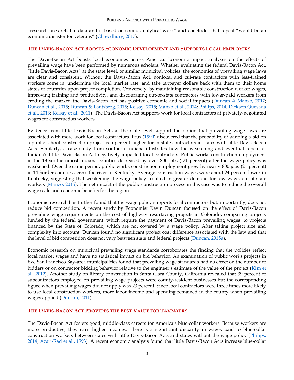"research uses reliable data and is based on sound analytical work" and concludes that repeal "would be an economic disaster for veterans" ([Chowdhury, 2017\)](https://medium.com/@abdur.chowdhury/the-impact-of-repealing-prevailing-wage-laws-on-military-veterans-9c537366304a#.s0z6bw21e).

#### <span id="page-6-0"></span>**THE DAVIS-BACON ACT BOOSTS ECONOMIC DEVELOPMENT AND SUPPORTS LOCAL EMPLOYERS**

The Davis-Bacon Act boosts local economies across America. Economic impact analyses on the effects of prevailing wage have been performed by numerous scholars. Whether evaluating the federal Davis-Bacon Act, "little Davis-Bacon Acts" at the state level, or similar municipal policies, the economics of prevailing wage laws are clear and consistent. Without the Davis-Bacon Act, nonlocal and cut-rate contractors with less-trained workers come in, undermine the local market rate, and take taxpayer dollars back with them to their home states or countries upon project completion. Conversely, by maintaining reasonable construction worker wages, improving training and productivity, and discouraging out-of-state contractors with lower-paid workers from eroding the market, the Davis-Bacon Act has positive economic and social impacts [\(Duncan & Manzo, 2017;](https://illinoisepi.files.wordpress.com/2016/12/kentucky-report-duncan-and-manzo-2016-final.pdf) [Duncan et al., 2015;](https://illinoisepi.org/countrysidenonprofit/wp-content/uploads/2014/06/The-Cost-of-Repealing-Michigans-PWL-FINAL.pdf) [Duncan & Lantsberg, 2015;](http://www.faircontracting.org/wp-content/uploads/2015/05/How-Weakening-Wisconsin%E2%80%99s-Prevailing-Wage-Policy-Would-Affect-Public-Construction-Costs-and-Economic-Activity2.pdf) [Kelsay, 2015;](http://www.faircontracting.org/wp-content/uploads/2015/01/The-Adverse-Economic-Impact-from-Repeal-of-the-PW-Law-in-WV-Dr.-Michael-Kelsay-Full-Report.pdf) [Manzo et al., 2014;](https://illinoisepi.org/countrysidenonprofit/wp-content/uploads/2014/07/Common-Sense-Construction-CCW-Report-FINAL1.pdf) [Philips, 2014;](http://www.faircontracting.org/wp-content/uploads/2014/02/Kentucky-Report-2014-Philips.pdf) [Dickson Quesada](https://illinoisepi.org/countrysidenonprofit/wp-content/uploads/2013/10/PWL_full-report_lttr-format.pdf)  [et al., 2013;](https://illinoisepi.org/countrysidenonprofit/wp-content/uploads/2013/10/PWL_full-report_lttr-format.pdf) [Kelsay et al., 2011\)](http://cas2.umkc.edu/economics/resources/prevailingwagestudy.pdf). The Davis-Bacon Act supports work for local contractors at privately-negotiated wages for construction workers.

Evidence from little Davis-Bacon Acts at the state level support the notion that prevailing wage laws are associated with more work for local contractors. Prus [\(1999\)](http://www.faircontracting.org/PDFs/prevailing_wages/Prevailing%20Wage%20Law%20and%20School%20Construction%20Cost%20in%20Maryland.pdf) discovered that the probability of winning a bid on a public school construction project is 5 percent higher for in-state contractors in states with little Davis-Bacon Acts. Similarly, a case study from southern Indiana illustrates how the weakening and eventual repeal of Indiana's little Davis-Bacon Act negatively impacted local contractors. Public works construction employment in the 13 southernmost Indiana counties decreased by over 800 jobs (-21 percent) after the wage policy was weakened. Over the same period, public works construction employment grew by nearly 800 jobs (21 percent) in 14 border counties across the river in Kentucky. Average construction wages were about 24 percent lower in Kentucky, suggesting that weakening the wage policy resulted in greater demand for low-wage, out-of-state workers [\(Manzo, 2016\)](https://illinoisepi.files.wordpress.com/2016/06/ilepi-economic-commentary-southern-in-case-study1.pdf). The net impact of the public construction process in this case was to reduce the overall wage scale and economic benefits for the region.

Economic research has further found that the wage policy supports local contractors but, importantly, does not reduce bid competition. A recent study by Economist Kevin Duncan focused on the effect of Davis-Bacon prevailing wage requirements on the cost of highway resurfacing projects in Colorado, comparing projects funded by the federal government, which require the payment of Davis-Bacon prevailing wages, to projects financed by the State of Colorado, which are not covered by a wage policy. After taking project size and complexity into account, Duncan found no significant project cost difference associated with the law and that the level of bid competition does not vary between state and federal projects [\(Duncan, 2015a\)](http://ilr.sagepub.com/content/68/1.toc).

Economic research on municipal prevailing wage standards corroborates the finding that the policies reflect local market wages and have no statistical impact on bid behavior. An examination of public works projects in five San Francisco Bay-area municipalities found that prevailing wage standards had no effect on the number of bidders or on contractor bidding behavior relative to the engineer's estimate of the value of the project ([Kim et](http://constructionacademy.org/wp-content/uploads/downloads/2012/09/2012-10-Industrial-Relations-Philips-et-al-Effect-of-Prevailing-Wage-Regulations-on-Contractor-Bid-Participation-and-Behavior-Palo-Alto-Etc.pdf)  [al., 2012\)](http://constructionacademy.org/wp-content/uploads/downloads/2012/09/2012-10-Industrial-Relations-Philips-et-al-Effect-of-Prevailing-Wage-Regulations-on-Contractor-Bid-Participation-and-Behavior-Palo-Alto-Etc.pdf). Another study on library construction in Santa Clara County, California revealed that 39 percent of subcontractors employed on prevailing wage projects were county-resident businesses but the corresponding figure when prevailing wages did not apply was 23 percent. Since local contractors were three times more likely to use local construction workers, more labor income and spending remained in the county when prevailing wages applied [\(Duncan, 2011\)](http://www.faircontracting.org/wp-content/uploads/2014/02/2011-5-13-11-prevailing_wage_brief.pdf).

# <span id="page-6-1"></span>**THE DAVIS-BACON ACT PROVIDES THE BEST VALUE FOR TAXPAYERS**

The Davis-Bacon Act fosters good, middle-class careers for America's blue-collar workers. Because workers are more productive, they earn higher incomes. There is a significant disparity in wages paid to blue-collar construction workers between states with little Davis-Bacon Acts and states without the wage policy [\(Philips,](http://www.faircontracting.org/wp-content/uploads/2014/02/Kentucky-Report-2014-Philips.pdf)  [2014;](http://www.faircontracting.org/wp-content/uploads/2014/02/Kentucky-Report-2014-Philips.pdf) [Azari-Rad et al., 1993\)](http://www.tandfonline.com/doi/abs/10.1080/15578770902952280#preview). A recent economic analysis found that little Davis-Bacon Acts increase blue-collar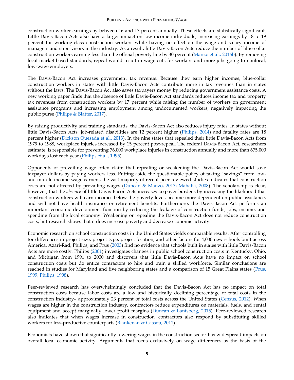construction worker earnings by between 16 and 17 percent annually. These effects are statistically significant. Little Davis-Bacon Acts also have a larger impact on low-income individuals, increasing earnings by 18 to 19 percent for working-class construction workers while having no effect on the wage and salary income of managers and supervisors in the industry. As a result, little Davis-Bacon Acts reduce the number of blue-collar construction workers earning less than the official poverty line by 30 percent [\(Manzo et al., 2016b\)](https://illinoisepi.files.wordpress.com/2017/03/pw-national-impact-study-final2-9-16.pdf). By removing local market-based standards, repeal would result in wage cuts for workers and more jobs going to nonlocal, low-wage employers.

The Davis-Bacon Act increases government tax revenue. Because they earn higher incomes, blue-collar construction workers in states with little Davis-Bacon Acts contribute more in tax revenues than in states without the laws. The Davis-Bacon Act also saves taxpayers money by reducing government assistance costs. A new working paper finds that the absence of little Davis-Bacon Act standards reduces income tax and property tax revenues from construction workers by 17 percent while raising the number of workers on government assistance programs and increasing employment among undocumented workers, negatively impacting the public purse [\(Philips & Blatter, 2017\)](https://www.aeaweb.org/conference/2017/preliminary/paper/32Na4BK9).

By raising productivity and training standards, the Davis-Bacon Act also reduces injury rates. In states without little Davis-Bacon Acts, job-related disabilities are 12 percent higher [\(Philips, 2014\)](http://www.faircontracting.org/wp-content/uploads/2014/02/Kentucky-Report-2014-Philips.pdf) and fatality rates are 18 percent higher [\(Dickson Quesada et al., 2013\)](https://illinoisepi.org/countrysidenonprofit/wp-content/uploads/2013/10/PWL_full-report_lttr-format.pdf). In the nine states that repealed their little Davis-Bacon Acts from 1979 to 1988, workplace injuries increased by 15 percent post-repeal. The federal Davis-Bacon Act, researchers estimate, is responsible for preventing 76,000 workplace injuries in construction annually and more than 675,000 workdays lost each year [\(Philips et al., 1995\)](http://www.faircontracting.org/PDFs/prevailing_wages/losingground.pdf).

Opponents of prevailing wage often claim that repealing or weakening the Davis-Bacon Act would save taxpayer dollars by paying workers less. Putting aside the questionable policy of taking "savings" from lowand middle-income wage earners, the vast majority of recent peer-reviewed studies indicates that construction costs are not affected by prevailing wages [\(Duncan & Manzo, 2017;](https://illinoisepi.files.wordpress.com/2016/12/kentucky-report-duncan-and-manzo-2016-final.pdf) [Mahalia, 2008\)](http://www.epi.org/publication/bp215/). The scholarship is clear, however, that the *absence* of little Davis-Bacon Acts increases taxpayer burdens by increasing the likelihood that construction workers will earn incomes below the poverty level, become more dependent on public assistance, and will not have health insurance or retirement benefits. Furthermore, the Davis-Bacon Act performs an important economic development function by reducing the leakage of construction funds, jobs, income, and spending from the local economy. Weakening or repealing the Davis-Bacon Act does not reduce construction costs, but research shows that it does increase poverty and decrease economic activity.

Economic research on school construction costs in the United States yields comparable results. After controlling for differences in project size, project type, project location, and other factors for 4,000 new schools built across America, Azari-Rad, Philips, and Prus [\(2003\)](http://content.csbs.utah.edu/~philips/soccer2/Publications/Prevailing%20Wages/Cost%20of%20Construction/IR%20Summer%202003.pdf) find no evidence that schools built in states with little Davis-Bacon Acts are more costly. Philips [\(2001\)](http://www.faircontracting.org/PDFs/prevailing_wages/Public_School%20Peter%20Phillips.pdf) investigates changes in public school construction costs in Kentucky, Ohio, and Michigan from 1991 to 2000 and discovers that little Davis-Bacon Acts have no impact on school construction costs but do entice contractors to hire and train a skilled workforce. Similar conclusions are reached in studies for Maryland and five neighboring states and a comparison of 15 Great Plains states [\(Prus,](http://www.faircontracting.org/PDFs/prevailing_wages/Prevailing%20Wage%20Law%20and%20School%20Construction%20Cost%20in%20Maryland.pdf)  [1999;](http://www.faircontracting.org/PDFs/prevailing_wages/Prevailing%20Wage%20Law%20and%20School%20Construction%20Cost%20in%20Maryland.pdf) [Philips, 1998\)](http://www.faircontracting.org/wp-content/uploads/2012/11/Delawares-Prevailing-Wage-Law.pdf).

Peer-reviewed research has overwhelmingly concluded that the Davis-Bacon Act has no impact on total construction costs because labor costs are a low and historically declining percentage of total costs in the construction industry– approximately 23 percent of total costs across the United States [\(Census, 2012\)](http://factfinder.census.gov/). When wages are higher in the construction industry, contractors reduce expenditures on materials, fuels, and rental equipment and accept marginally lower profit margins [\(Duncan & Lantsberg, 2015\)](http://www.faircontracting.org/wp-content/uploads/2015/05/How-Weakening-Wisconsin%E2%80%99s-Prevailing-Wage-Policy-Would-Affect-Public-Construction-Costs-and-Economic-Activity2.pdf). Peer-reviewed research also indicates that when wages increase in construction, contractors also respond by substituting skilled workers for less-productive counterparts [\(Blankenau & Cassou, 2011\)](https://ideas.repec.org/a/taf/applec/v43y2011i23p3129-3142.html).

Economists have shown that significantly lowering wages in the construction sector has widespread impacts on overall local economic activity. Arguments that focus exclusively on wage differences as the basis of the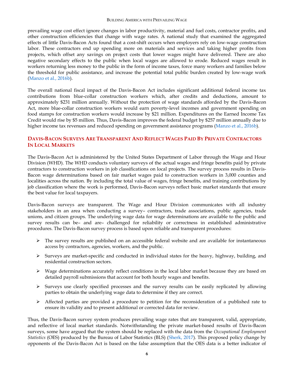prevailing wage cost effect ignore changes in labor productivity, material and fuel costs, contractor profits, and other construction efficiencies that change with wage rates. A national study that examined the aggregated effects of little Davis-Bacon Acts found that a cost-shift occurs when employers rely on low-wage construction labor. These contractors end up spending more on materials and services and taking higher profits from projects, which offset any savings on project costs that lower wages might have delivered. There are also negative secondary effects to the public when local wages are allowed to erode. Reduced wages result in workers returning less money to the public in the form of income taxes, force many workers and families below the threshold for public assistance, and increase the potential total public burden created by low-wage work [\(Manzo et al., 2016b\)](https://illinoisepi.files.wordpress.com/2017/03/pw-national-impact-study-final2-9-16.pdf).

The overall national fiscal impact of the Davis-Bacon Act includes significant additional federal income tax contributions from blue-collar construction workers which, after credits and deductions, amount to approximately \$231 million annually. Without the protection of wage standards afforded by the Davis-Bacon Act, more blue-collar construction workers would earn poverty-level incomes and government spending on food stamps for construction workers would increase by \$21 million. Expenditures on the Earned Income Tax Credit would rise by \$5 million. Thus, Davis-Bacon improves the federal budget by \$257 million annually due to higher income tax revenues and reduced spending on government assistance programs [\(Manzo et al., 2016b\)](https://illinoisepi.files.wordpress.com/2017/03/pw-national-impact-study-final2-9-16.pdf).

# <span id="page-8-0"></span>DAVIS-BACON SURVEYS ARE TRANSPARENT AND REFLECT WAGES PAID BY PRIVATE CONTRACTORS **IN LOCAL MARKETS**

The Davis-Bacon Act is administered by the United States Department of Labor through the Wage and Hour Division (WHD). The WHD conducts voluntary surveys of the actual wages and fringe benefits paid by private contractors to construction workers in job classifications on local projects. The survey process results in Davis-Bacon wage determinations based on fair market wages paid to construction workers in 3,000 counties and localities across the nation. By including the total value of wages, fringe benefits, and training contributions by job classification where the work is performed, Davis-Bacon surveys reflect basic market standards that ensure the best value for local taxpayers.

Davis-Bacon surveys are transparent. The Wage and Hour Division communicates with all industry stakeholders in an area when conducting a survey– contractors, trade associations, public agencies, trade unions, and citizen groups. The underlying wage data for wage determinations are available to the public and survey results can be– and are– challenged for reliability or correctness in established administrative procedures. The Davis-Bacon survey process is based upon reliable and transparent procedures:

- $\triangleright$  The survey results are published on an accessible federal website and are available for instantaneous access by contractors, agencies, workers, and the public.
- Surveys are market-specific and conducted in individual states for the heavy, highway, building, and residential construction sectors.
- $\triangleright$  Wage determinations accurately reflect conditions in the local labor market because they are based on detailed payroll submissions that account for both hourly wages and benefits.
- $\triangleright$  Surveys use clearly specified processes and the survey results can be easily replicated by allowing parties to obtain the underlying wage data to determine if they are correct.
- $\triangleright$  Affected parties are provided a procedure to petition for the reconsideration of a published rate to ensure its validity and to present additional or corrected data for review.

Thus, the Davis-Bacon survey system produces prevailing wage rates that are transparent, valid, appropriate, and reflective of local market standards. Notwithstanding the private market-based results of Davis-Bacon surveys, some have argued that the system should be replaced with the data from the *Occupational Employment Statistics* (OES) produced by the Bureau of Labor Statistics (BLS) [\(Sherk, 2017\)](http://www.heritage.org/sites/default/files/2017-01/BG3185_0.pdf). This proposed policy change by opponents of the Davis-Bacon Act is based on the false assumption that the OES data is a better indicator of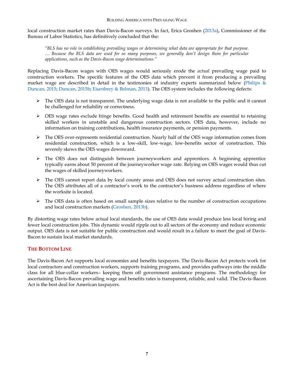local construction market rates than Davis-Bacon surveys. In fact, Erica Groshen [\(2013a\)](https://www.gpo.gov/fdsys/pkg/CHRG-113hhrg81435/html/CHRG-113hhrg81435.htm), Commissioner of the Bureau of Labor Statistics, has definitively concluded that the:

*"BLS has no role in establishing prevailing wages or determining what data are appropriate for that purpose. … Because the BLS data are used for so many purposes, we generally don't design them for particular applications, such as the Davis-Bacon wage determinations."*

Replacing Davis-Bacon wages with OES wages would seriously erode the *actual* prevailing wage paid to construction workers. The specific features of the OES data which prevent it from producing a prevailing market wage are described in detail in the testimonies of industry experts summarized below (Philips  $\&$ [Duncan, 2015;](http://documentslide.com/documents/bls-survey-methodology.html) [Duncan, 2015b;](http://docshare01.docshare.tips/files/29184/291843606.pdf) [Eisenbrey & Belman, 2013\)](http://edworkforce.house.gov/uploadedfiles/eisenbrey_davis-bacon_testimony_2013_final.pdf). The OES system includes the following defects:

- $\triangleright$  The OES data is not transparent. The underlying wage data is not available to the public and it cannot be challenged for reliability or correctness.
- $\triangleright$  OES wage rates exclude fringe benefits. Good health and retirement benefits are essential to retaining skilled workers in unstable and dangerous construction sectors. OES data, however, include no information on training contributions, health insurance payments, or pension payments.
- $\triangleright$  The OES over-represents residential construction. Nearly half of the OES wage information comes from residential construction, which is a low-skill, low-wage, low-benefits sector of construction. This severely skews the OES wages downward.
- $\triangleright$  The OES does not distinguish between journeyworkers and apprentices. A beginning apprentice typically earns about 50 percent of the journeyworker wage rate. Relying on OES wages would thus cut the wages of skilled journeyworkers.
- $\triangleright$  The OES cannot report data by local county areas and OES does not survey actual construction sites. The OES attributes all of a contractor's work to the contractor's business address regardless of where the worksite is located.
- $\triangleright$  The OES data is often based on small sample sizes relative to the number of construction occupations and local construction markets [\(Groshen, 2013b\)](https://www.bls.gov/bls/congressional_testimony/groshen06182013.pdf).

By distorting wage rates below actual local standards, the use of OES data would produce less local hiring and fewer local construction jobs. This dynamic would ripple out to all sectors of the economy and reduce economic output. OES data is not suitable for public construction and would result in a failure to meet the goal of Davis-Bacon to sustain local market standards.

# <span id="page-9-0"></span>**THE BOTTOM LINE**

<span id="page-9-1"></span>The Davis-Bacon Act supports local economies and benefits taxpayers. The Davis-Bacon Act protects work for local contractors and construction workers, supports training programs, and provides pathways into the middle class for all blue-collar workers– keeping them off government assistance programs. The methodology for ascertaining Davis-Bacon prevailing wage and benefits rates is transparent, reliable, and valid. The Davis-Bacon Act is the best deal for American taxpayers.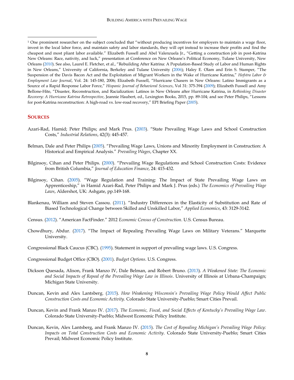#### **SOURCES**

 $\overline{a}$ 

- Azari-Rad, Hamid; Peter Philips; and Mark Prus. [\(2003](http://content.csbs.utah.edu/~philips/soccer2/Publications/Prevailing%20Wages/Cost%20of%20Construction/IR%20Summer%202003.pdf)). "State Prevailing Wage Laws and School Construction Costs," *Industrial Relations*, 42(3): 445-457.
- Belman, Dale and Peter Philips [\(2005](https://msu.edu/~drdale/Publications/Construction%20&%20PLAs/Prevailing%20Wage%20Laws,%20Unions%20and%20Minority%20Employment%20in%20Construction.pdf)). "Prevailing Wage Laws, Unions and Minority Employment in Construction: A Historical and Empirical Analysis." *Prevailing Wages*, Chapter XX.
- Bilginsoy, Cihan and Peter Philips. [\(2000](http://ohiostatebtc.org/wp-content/uploads/2014/04/PWL_BC_11.pdf)). "Prevailing Wage Regulations and School Construction Costs: Evidence from British Columbia," *Journal of Education Finance*, 24: 415-432.
- Bilginsoy, Cihan. [\(2005](https://ideas.repec.org/p/uta/papers/2003_08.html)). "Wage Regulation and Training: The Impact of State Prevailing Wage Laws on Apprenticeship," in Hamid Azari-Rad, Peter Philips and Mark J. Prus (eds.) *The Economics of Prevailing Wage Laws*, Aldershot, UK: Ashgate, pp.149-168.
- Blankenau, William and Steven Cassou. [\(2011](https://ideas.repec.org/a/taf/applec/v43y2011i23p3129-3142.html)). "Industry Differences in the Elasticity of Substitution and Rate of Biased Technological Change between Skilled and Unskilled Labor," *Applied Economics*, 43: 3129-3142.
- Census. [\(2012](http://factfinder.census.gov/faces/nav/jsf/pages/index.xhtml)). "American FactFinder." 2012 *Economic Census of Construction*. U.S. Census Bureau.
- Chowdhury, Abdur. [\(2017](https://medium.com/@abdur.chowdhury/the-impact-of-repealing-prevailing-wage-laws-on-military-veterans-9c537366304a#.yefz1l8mx)). "The Impact of Repealing Prevailing Wage Laws on Military Veterans." Marquette University.
- Congressional Black Caucus (CBC). [\(1995\)](http://www.faircontracting.org/wp-content/uploads/2012/11/Congressional-Black-Caucus-statement-on-Davis-Bacon.pdf). Statement in support of prevailing wage laws. U.S. Congress.
- Congressional Budget Office (CBO). [\(2001\)](https://www.cbo.gov/sites/default/files/107th-congress-2001-2002/reports/entire-report_0.pdf). *Budget Options*. U.S. Congress.
- Dickson Quesada, Alison, Frank Manzo IV, Dale Belman, and Robert Bruno. [\(2013\)](https://illinoisepi.org/countrysidenonprofit/wp-content/uploads/2013/10/PWL_full-report_lttr-format.pdf). *A Weakened State: The Economic and Social Impacts of Repeal of the Prevailing Wage Law in Illinois*. University of Illinois at Urbana-Champaign; Michigan State University.
- Duncan, Kevin and Alex Lantsberg. [\(2015\)](http://www.faircontracting.org/wp-content/uploads/2015/05/How-Weakening-Wisconsin%E2%80%99s-Prevailing-Wage-Policy-Would-Affect-Public-Construction-Costs-and-Economic-Activity2.pdf). *How Weakening Wisconsin's Prevailing Wage Policy Would Affect Public Construction Costs and Economic Activity*. Colorado State University-Pueblo; Smart Cities Prevail.
- Duncan, Kevin and Frank Manzo IV. [\(2017\)](https://illinoisepi.files.wordpress.com/2016/12/kentucky-report-duncan-and-manzo-2016-final.pdf). *The Economic, Fiscal, and Social Effects of Kentucky's Prevailing Wage Law*. Colorado State University-Pueblo; Midwest Economic Policy Institute.
- Duncan, Kevin, Alex Lantsberg, and Frank Manzo IV. [\(2015\)](https://illinoisepi.org/countrysidenonprofit/wp-content/uploads/2014/06/The-Cost-of-Repealing-Michigans-PWL-FINAL.pdf). *The Cost of Repealing Michigan's Prevailing Wage Policy: Impacts on Total Construction Costs and Economic Activity*. Colorado State University-Pueblo; Smart Cities Prevail; Midwest Economic Policy Institute.

<sup>&</sup>lt;sup>1</sup> One prominent researcher on the subject concluded that "without producing incentives for employers to maintain a wage floor, invest in the local labor force, and maintain safety and labor standards, they will opt instead to increase their profits and find the cheapest and most pliant labor available." Elizabeth Fussell and Abel Valenzuela Jr., "Getting a construction job in post-Katrina New Orleans: Race, nativity, and luck," presentation at Conference on New Orleans's Political Economy, Tulane University, New Orleans [\(2010](http://www2.tulane.edu/liberal-arts/political-economy/new-orleans/upload/Fussell-and-Valenzuela-Getting-a-construction-job-in-New-Orleans.pdf)). See also, Laurel E. Fletcher, et al., "Rebuilding After Katrina: A Population-Based Study of Labor and Human Rights in New Orleans," University of California, Berkeley and Tulane University ([2006](https://www.law.berkeley.edu/files/rebuilding_after_katrina.pdf)); Haley E. Olam and Erin S. Stamper, "The Suspension of the Davis Bacon Act and the Exploitation of Migrant Workers in the Wake of Hurricane Katrina," *Hofstra Labor & Employment Law Journal*, Vol. 24: 145-180, 2006; Elizabeth Fussell, "Hurricane Chasers in New Orleans: Latino Immigrants as a Source of a Rapid Response Labor Force," *Hispanic Journal of Behavioral Sciences*, Vol 31: 375-394 [\(2009\)](https://www.researchgate.net/publication/231057898_Hurricane_Chasers_in_New_Orleans); Elizabeth Fussell and Amy Bellone-Hite, "Disaster, Reconstruction, and Racialization: Latinos in New Orleans after Hurricane Katrina, in *Rethinking Disaster Recovery: A Hurricane Katrina Retrospective*, Jeannie Haubert, ed., Lexington Books, 2015, pp. 89-104; and see Peter Philips, "Lessons for post-Katrina reconstruction: A high-road vs. low-road recovery," EPI Briefing Paper [\(2005\)](http://www.epi.org/files/page/-/old/briefingpapers/166/bp166.pdf).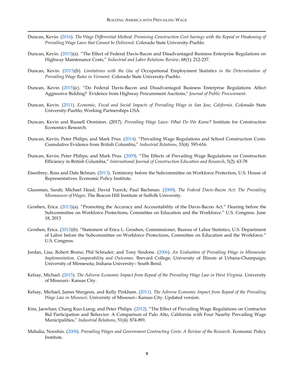Duncan, Kevin. [\(2016\)](http://www.faircontracting.org/wp-content/uploads/2012/08/Wage-differential-method-critique-Duncan-2016-1.pdf). *The Wage Differential Method: Promising Construction Cost Savings with the Repeal or Weakening of Prevailing Wage Laws that Cannot be Delivered*. Colorado State University-Pueblo.

 $\overline{a}$ 

- Duncan, Kevin. [\(2015](http://ilr.sagepub.com/content/68/1/212))(a). "The Effect of Federal Davis-Bacon and Disadvantaged Business Enterprise Regulations on Highway Maintenance Costs," *Industrial and Labor Relations Review*, 68(1): 212-237.
- Duncan, Kevin. [\(2015\)](http://docshare01.docshare.tips/files/29184/291843606.pdf)(b). *Limitations with the Use of* Occupational Employment Statistics *in the Determination of Prevailing Wage Rates in Vermont*. Colorado State University-Pueblo.
- Duncan, Kevin [\(2015\)](http://pracademics.com/attachments/article/1215/Article%202_Duncan.pdf)(c). "Do Federal Davis-Bacon and Disadvantaged Business Enterprise Regulations Affect Aggressive Bidding? Evidence from Highway Procurement Auctions," *Journal of Public Procurement*.
- Duncan, Kevin. [\(2011\)](http://www.faircontracting.org/wp-content/uploads/2014/02/2011-5-13-11-prevailing_wage_brief.pdf). *Economic, Fiscal and Social Impacts of Prevailing Wage in San Jose, California*. Colorado State University-Pueblo; Working Partnerships USA.
- Duncan, Kevin and Russell Ormiston. (2017). *Prevailing Wage Laws: What Do We Know*? Institute for Construction Economics Research.
- Duncan, Kevin; Peter Philips; and Mark Prus. [\(2014](http://onlinelibrary.wiley.com/doi/10.1111/irel.12072/abstract)). "Prevailing Wage Regulations and School Construction Costs: Cumulative Evidence from British Columbia," *Industrial Relations*, 53(4): 593-616.
- Duncan, Kevin; Peter Philips; and Mark Prus. [\(2009](http://www.tandfonline.com/doi/abs/10.1080/15578770902952280#preview)). "The Effects of Prevailing Wage Regulations on Construction Efficiency in British Columbia," *International Journal of Construction Education and Research*, 5(2): 63-78
- Eisenbrey, Ross and Dale Belman. [\(2013\)](http://edworkforce.house.gov/uploadedfiles/eisenbrey_davis-bacon_testimony_2013_final.pdf). Testimony before the Subcommittee on Workforce Protection, U.S. House of Representatives. Economic Policy Institute.
- Glassman, Sarah; Michael Head; David Tuerck; Paul Bachman. [\(2008\)](http://www.beaconhill.org/BHIStudies/PrevWage08/DavisBaconPrevWage080207Final.pdf). *The Federal Davis-Bacon Act: The Prevailing Mismeasure of Wages*. The Beacon Hill Institute at Suffolk University.
- Groshen, Erica. [\(2013](https://www.gpo.gov/fdsys/pkg/CHRG-113hhrg81435/html/CHRG-113hhrg81435.htm))(a). "Promoting the Accuracy and Accountability of the Davis-Bacon Act." Hearing before the Subcommittee on Workforce Protections, Committee on Education and the Workforce." U.S. Congress. June 18, 2013
- Groshen, Erica. [\(2013\)](https://www.bls.gov/bls/congressional_testimony/groshen06182013.pdf)(b). "Statement of Erica L. Groshen, Commissioner, Bureau of Labor Statistics, U.S. Department of Labor before the Subcommittee on Workforce Protections, Committee on Education and the Workforce." U.S. Congress.
- Jordan, Lisa; Robert Bruno; Phil Schrader; and Tony Sindone. [\(2006\)](http://www.faircontracting.org/PDFs/prevailing_wages/PrevailingWageStudyFinal1109061.pdf). *An Evaluation of Prevailing Wage in Minnesota: Implementation, Comparability and Outcomes*. Brevard College; University of Illinois at Urbana-Champaign; University of Minnesota; Indiana University– South Bend.
- Kelsay, Michael. [\(2015\)](http://www.faircontracting.org/wp-content/uploads/2015/01/The-Adverse-Economic-Impact-from-Repeal-of-the-PW-Law-in-WV-Dr.-Michael-Kelsay-Full-Report.pdf). *The Adverse Economic Impact from Repeal of the Prevailing Wage Law in West Virginia*. University of Missouri– Kansas City.
- Kelsay, Michael, James Sturgeon, and Kelly Pinkham. [\(2011\)](http://cas2.umkc.edu/economics/resources/prevailingwagestudy.pdf). *The Adverse Economic Impact from Repeal of the Prevailing Wage Law in Missouri*. University of Missouri– Kansas City. Updated version.
- Kim, Jaewhan; Chang Kuo-Liang; and Peter Philips. [\(2012](http://constructionacademy.org/wp-content/uploads/downloads/2012/09/2012-10-Industrial-Relations-Philips-et-al-Effect-of-Prevailing-Wage-Regulations-on-Contractor-Bid-Participation-and-Behavior-Palo-Alto-Etc.pdf)). "The Effect of Prevailing Wage Regulations on Contractor Bid Participation and Behavior: A Comparison of Palo Alto, California with Four Nearby Prevailing Wage Municipalities," *Industrial Relations*, 51(4): 874-891.
- Mahalia, Nooshin. [\(2008\)](http://www.epi.org/publication/bp215/). *Prevailing Wages and Government Contracting Costs: A Review of the Research*. Economic Policy Institute.